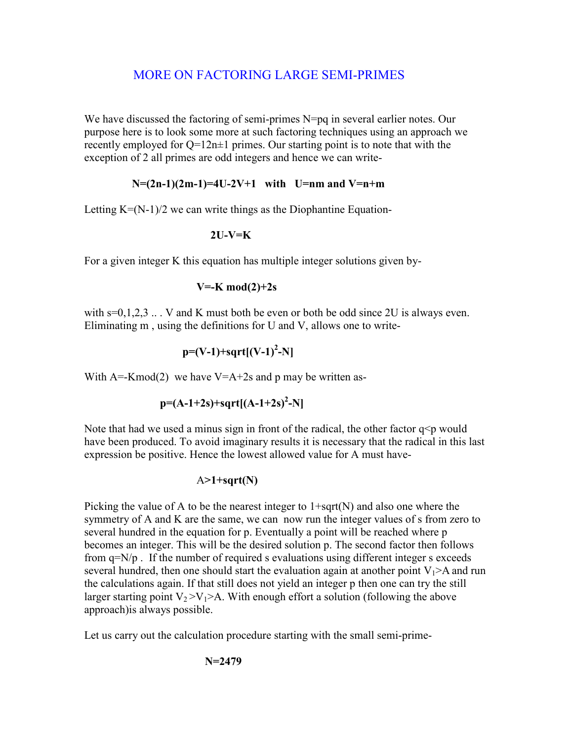# MORE ON FACTORING LARGE SEMI-PRIMES

We have discussed the factoring of semi-primes N=pq in several earlier notes. Our purpose here is to look some more at such factoring techniques using an approach we recently employed for  $Q=12n\pm1$  primes. Our starting point is to note that with the exception of 2 all primes are odd integers and hence we can write-

## **N=(2n-1)(2m-1)=4U-2V+1 with U=nm and V=n+m**

Letting  $K=(N-1)/2$  we can write things as the Diophantine Equation-

### **2U-V=K**

For a given integer K this equation has multiple integer solutions given by-

### **V=-K mod(2)+2s**

with  $s=0,1,2,3...$   $V$  and K must both be even or both be odd since 2U is always even. Eliminating m , using the definitions for U and V, allows one to write-

$$
p=(V-1)+sqrt((V-1)^2-N)
$$

With  $A = Kmod(2)$  we have  $V = A + 2s$  and p may be written as-

$$
p=(A-1+2s)+sqrt((A-1+2s)^2-N)
$$

Note that had we used a minus sign in front of the radical, the other factor  $q \leq p$  would have been produced. To avoid imaginary results it is necessary that the radical in this last expression be positive. Hence the lowest allowed value for A must have-

#### A**>1+sqrt(N)**

Picking the value of A to be the nearest integer to  $1+sqrt(N)$  and also one where the symmetry of A and K are the same, we can now run the integer values of s from zero to several hundred in the equation for p. Eventually a point will be reached where p becomes an integer. This will be the desired solution p. The second factor then follows from q=N/p . If the number of required s evaluations using different integer s exceeds several hundred, then one should start the evaluation again at another point  $V_1$ >A and run the calculations again. If that still does not yield an integer p then one can try the still larger starting point  $V_2 > V_1 > A$ . With enough effort a solution (following the above approach)is always possible.

Let us carry out the calculation procedure starting with the small semi-prime-

$$
N=2479
$$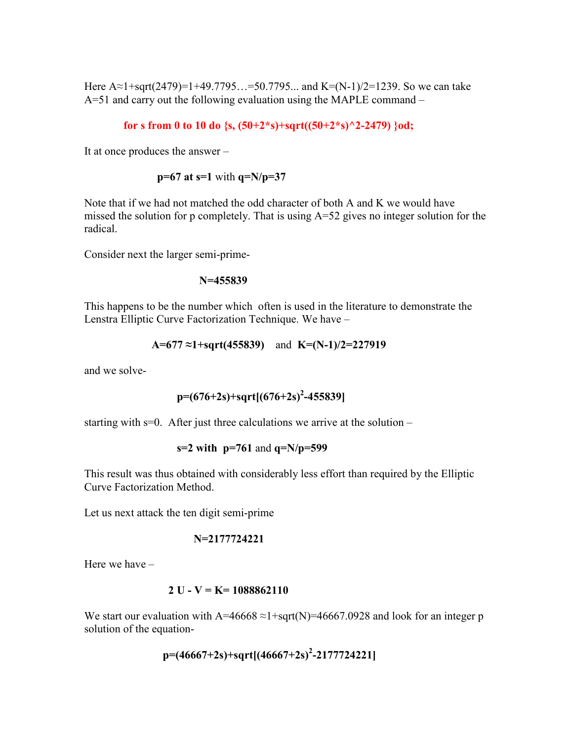Here A≈1+sqrt(2479)=1+49.7795…=50.7795... and K=(N-1)/2=1239. So we can take A=51 and carry out the following evaluation using the MAPLE command –

 **for s from 0 to 10 do {s, (50+2\*s)+sqrt((50+2\*s)^2-2479) }od;** 

It at once produces the answer –

 **p=67 at s=1** with **q=N/p=37** 

Note that if we had not matched the odd character of both A and K we would have missed the solution for p completely. That is using A=52 gives no integer solution for the radical.

Consider next the larger semi-prime-

 **N=455839** 

This happens to be the number which often is used in the literature to demonstrate the Lenstra Elliptic Curve Factorization Technique. We have –

$$
A=677 \approx 1 + \sqrt{455839} \quad \text{and} \quad K=(N-1)/2=227919
$$

and we solve-

$$
p=(676+2s)+sqrt[(676+2s)^2-455839]
$$

starting with  $s=0$ . After just three calculations we arrive at the solution –

**s=2 with p=761** and **q=N/p=599** 

This result was thus obtained with considerably less effort than required by the Elliptic Curve Factorization Method.

Let us next attack the ten digit semi-prime

$$
N=2177724221
$$

Here we have –

#### **2 U - V = K= 1088862110**

We start our evaluation with A=46668  $\approx$ 1+sqrt(N)=46667.0928 and look for an integer p solution of the equation-

$$
p=(46667+2s)+sqrt[(46667+2s)^2-2177724221]
$$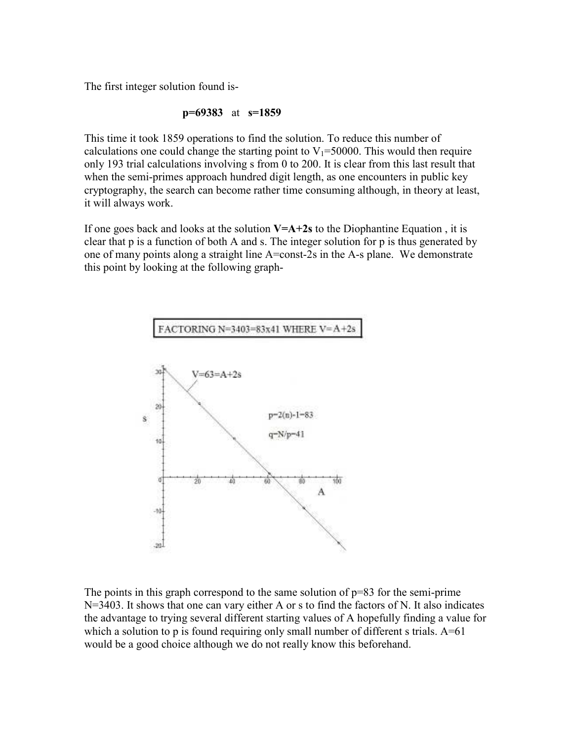The first integer solution found is-

$$
p=69383
$$
 at  $s=1859$ 

This time it took 1859 operations to find the solution. To reduce this number of calculations one could change the starting point to  $V_1$ =50000. This would then require only 193 trial calculations involving s from 0 to 200. It is clear from this last result that when the semi-primes approach hundred digit length, as one encounters in public key cryptography, the search can become rather time consuming although, in theory at least, it will always work.

If one goes back and looks at the solution **V=A+2s** to the Diophantine Equation , it is clear that p is a function of both A and s. The integer solution for p is thus generated by one of many points along a straight line A=const-2s in the A-s plane. We demonstrate this point by looking at the following graph-



The points in this graph correspond to the same solution of p=83 for the semi-prime N=3403. It shows that one can vary either A or s to find the factors of N. It also indicates the advantage to trying several different starting values of A hopefully finding a value for which a solution to p is found requiring only small number of different s trials.  $A=61$ would be a good choice although we do not really know this beforehand.